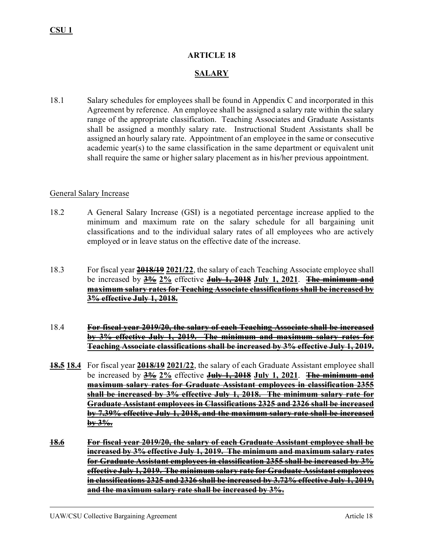## **ARTICLE 18**

# **SALARY**

18.1 Salary schedules for employees shall be found in Appendix C and incorporated in this Agreement by reference. An employee shall be assigned a salary rate within the salary range of the appropriate classification. Teaching Associates and Graduate Assistants shall be assigned a monthly salary rate. Instructional Student Assistants shall be assigned an hourly salary rate. Appointment of an employee in the same or consecutive academic year(s) to the same classification in the same department or equivalent unit shall require the same or higher salary placement as in his/her previous appointment.

#### General Salary Increase

- 18.2 A General Salary Increase (GSI) is a negotiated percentage increase applied to the minimum and maximum rate on the salary schedule for all bargaining unit classifications and to the individual salary rates of all employees who are actively employed or in leave status on the effective date of the increase.
- 18.3 For fiscal year **2018/19 2021/22**, the salary of each Teaching Associate employee shall be increased by **3% 2%** effective **July 1, 2018 July 1, 2021**. **The minimum and maximum salary rates for Teaching Associate classifications shall be increased by 3% effective July 1, 2018.**
- 18.4 **For fiscal year 2019/20, the salary of each Teaching Associate shall be increased by 3% effective July 1, 2019. The minimum and maximum salary rates for Teaching Associate classifications shall be increased by 3% effective July 1, 2019.**
- **18.5 18.4** For fiscal year **2018/19 2021/22**, the salary of each Graduate Assistant employee shall be increased by **3% 2%** effective **July 1, 2018 July 1, 2021**. **The minimum and maximum salary rates for Graduate Assistant employees in classification 2355 shall be increased by 3% effective July 1, 2018. The minimum salary rate for Graduate Assistant employees in Classifications 2325 and 2326 shall be increased by 7.39% effective July 1, 2018, and the maximum salary rate shall be increased by 3%.**
- **18.6 For fiscal year 2019/20, the salary of each Graduate Assistant employee shall be increased by 3% effective July 1, 2019. The minimum and maximum salary rates for Graduate Assistant employees in classification 2355 shall be increased by 3% effective July 1, 2019. The minimum salary rate for Graduate Assistant employees in classifications 2325 and 2326 shall be increased by 3.72% effective July 1, 2019, and the maximum salary rate shall be increased by 3%.**